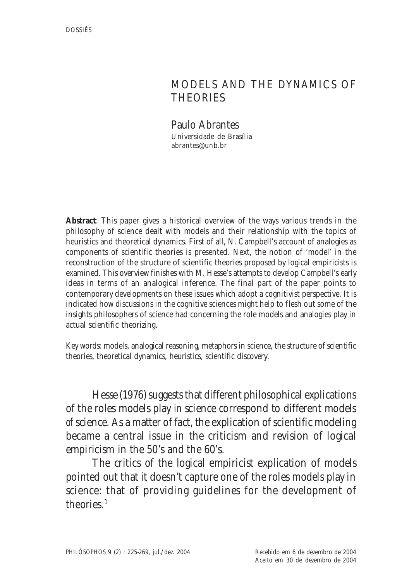# MODELS AND THE DYNAMICS OF **THEORIES**

Paulo Abrantes Universidade de Brasília abrantes@unb.br

**Abstract**: This paper gives a historical overview of the ways various trends in the philosophy of science dealt with models and their relationship with the topics of heuristics and theoretical dynamics. First of all, N. Campbell's account of analogies as components of scientific theories is presented. Next, the notion of 'model' in the reconstruction of the structure of scientific theories proposed by logical empiricists is examined. This overview finishes with M. Hesse's attempts to develop Campbell's early ideas in terms of an analogical inference. The final part of the paper points to contemporary developments on these issues which adopt a cognitivist perspective. It is indicated how discussions in the cognitive sciences might help to flesh out some of the insights philosophers of science had concerning the role models and analogies play in actual scientific theorizing.

Key words: models, analogical reasoning, metaphors in science, the structure of scientific theories, theoretical dynamics, heuristics, scientific discovery.

Hesse (1976) suggests that different philosophical explications of the roles models play *in* science correspond to different models *of* science. As a matter of fact, the explication of scientific modeling became a central issue in the criticism and revision of logical empiricism in the 50's and the 60's.

The critics of the logical empiricist explication of models pointed out that it doesn't capture one of the roles models play in science: that of providing guidelines for the development of theories<sup>1</sup>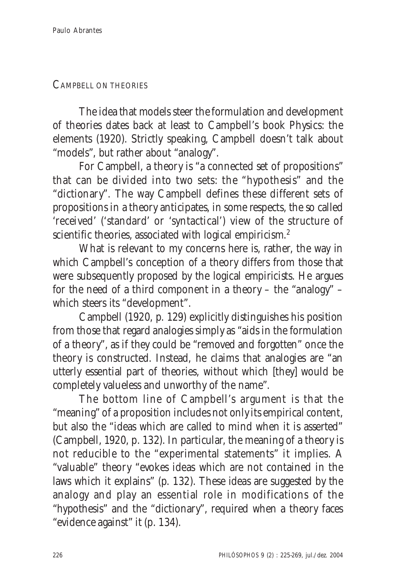#### CAMPBELL ON THEORIES

The idea that models steer the formulation and development of theories dates back at least to Campbell's book Physics: the elements (1920). Strictly speaking, Campbell doesn't talk about "models", but rather about "analogy".

For Campbell, a theory is "a connected set of propositions" that can be divided into two sets: the "hypothesis" and the "dictionary". The way Campbell defines these different sets of propositions in a theory anticipates, in some respects, the so called 'received' ('standard' or 'syntactical') view of the structure of scientific theories, associated with logical empiricism.<sup>2</sup>

What is relevant to my concerns here is, rather, the way in which Campbell's conception of a theory differs from those that were subsequently proposed by the logical empiricists. He argues for the need of a third component in a theory – the "analogy" – which steers its "development".

Campbell (1920, p. 129) explicitly distinguishes his position from those that regard analogies simply as "aids in the formulation of a theory", as if they could be "removed and forgotten" once the theory is constructed. Instead, he claims that analogies are "an utterly essential part of theories, without which [they] would be completely valueless and unworthy of the name".

The bottom line of Campbell's argument is that the "meaning" of a proposition includes not only its empirical content, but also the "ideas which are called to mind when it is asserted" (Campbell, 1920, p. 132). In particular, the meaning of a theory is not reducible to the "experimental statements" it implies. A "valuable" theory "evokes ideas which are not contained in the laws which it explains" (p. 132). These ideas are suggested by the analogy and play an essential role in modifications of the "hypothesis" and the "dictionary", required when a theory faces "evidence against" it (p. 134).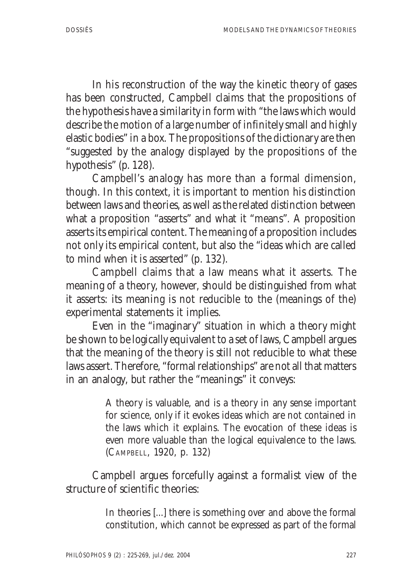In his reconstruction of the way the kinetic theory of gases has been constructed, Campbell claims that the propositions of the hypothesis have a similarity in form with "the laws which would describe the motion of a large number of infinitely small and highly elastic bodies" in a box. The propositions of the dictionary are then "suggested by the analogy displayed by the propositions of the hypothesis" (p. 128).

Campbell's analogy has more than a formal dimension, though. In this context, it is important to mention his distinction between laws and theories, as well as the related distinction between what a proposition "asserts" and what it "means". A proposition asserts its empirical content. The meaning of a proposition includes not only its empirical content, but also the "ideas which are called to mind when it is asserted" (p. 132).

Campbell claims that a law means what it asserts. The meaning of a theory, however, should be distinguished from what it asserts: its meaning is not reducible to the (meanings of the) experimental statements it implies.

Even in the "imaginary" situation in which a theory might be shown to be logically equivalent to a set of laws, Campbell argues that the meaning of the theory is still not reducible to what these laws assert. Therefore, "formal relationships" are not all that matters in an analogy, but rather the "meanings" it conveys:

> A theory is valuable, and is a theory in any sense important for science, only if it evokes ideas which are not contained in the laws which it explains. The evocation of these ideas is even more valuable than the logical equivalence to the laws. (CAMPBELL, 1920, p. 132)

Campbell argues forcefully against a formalist view of the structure of scientific theories:

> In theories [...] there is something over and above the formal constitution, which cannot be expressed as part of the formal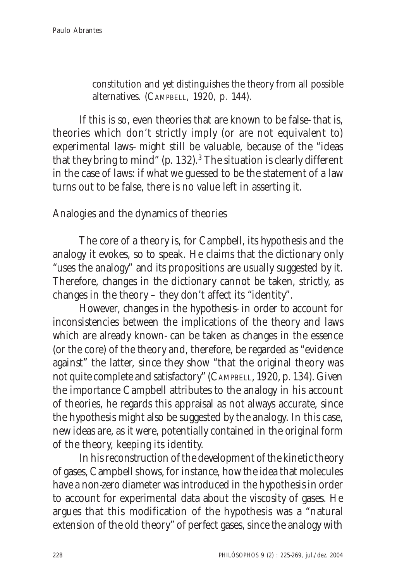constitution and yet distinguishes the theory from all possible alternatives. (CAMPBELL, 1920, p. 144).

If this is so, even theories that are known to be false- that is, theories which don't strictly imply (or are not equivalent to) experimental laws- might still be valuable, because of the "ideas that they bring to mind" (p.  $132$ ). $3$  The situation is clearly different in the case of laws: if what we guessed to be the statement of a law turns out to be false, there is no value left in asserting it.

## Analogies and the dynamics of theories

The core of a theory is, for Campbell, its hypothesis and the analogy it evokes, so to speak. He claims that the dictionary only "uses the analogy" and its propositions are usually suggested by it. Therefore, changes in the dictionary cannot be taken, strictly, as changes in the theory – they don't affect its "identity".

However, changes in the hypothesis- in order to account for inconsistencies between the implications of the theory and laws which are already known- can be taken as changes in the essence (or the core) of the theory and, therefore, be regarded as "evidence against" the latter, since they show "that the original theory was not quite complete and satisfactory" (CAMPBELL, 1920, p. 134). Given the importance Campbell attributes to the analogy in his account of theories, he regards this appraisal as not always accurate, since the hypothesis might also be suggested by the analogy. In this case, new ideas are, as it were, potentially contained in the original form of the theory, keeping its identity.

In his reconstruction of the development of the kinetic theory of gases, Campbell shows, for instance, how the idea that molecules have a non-zero diameter was introduced in the hypothesis in order to account for experimental data about the viscosity of gases. He argues that this modification of the hypothesis was a "natural extension of the old theory" of perfect gases, since the analogy with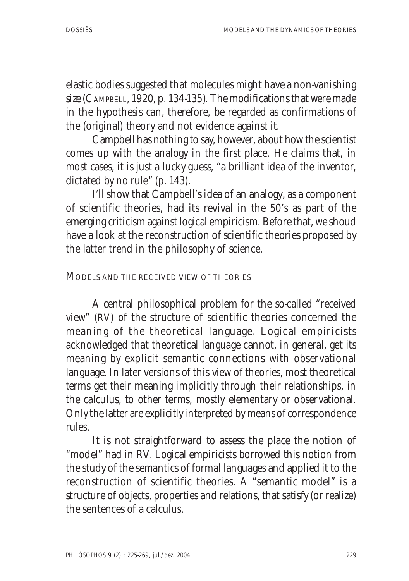elastic bodies suggested that molecules might have a non-vanishing size (CAMPBELL, 1920, p. 134-135). The modifications that were made in the hypothesis can, therefore, be regarded as confirmations of the (original) theory and not evidence against it.

Campbell has nothing to say, however, about how the scientist comes up with the analogy in the first place. He claims that, in most cases, it is just a lucky guess, "a brilliant idea of the inventor, dictated by no rule" (p. 143).

I'll show that Campbell's idea of an analogy, as a component of scientific theories, had its revival in the 50's as part of the emerging criticism against logical empiricism. Before that, we shoud have a look at the reconstruction of scientific theories proposed by the latter trend in the philosophy of science.

#### MODELS AND THE RECEIVED VIEW OF THEORIES

A central philosophical problem for the so-called "received view" (RV) of the structure of scientific theories concerned the meaning of the theoretical language. Logical empiricists acknowledged that theoretical language cannot, in general, get its meaning by explicit semantic connections with observational language. In later versions of this view of theories, most theoretical terms get their meaning implicitly through their relationships, in the calculus, to other terms, mostly elementary or observational. Only the latter are explicitly interpreted by means of correspondence rules.

It is not straightforward to assess the place the notion of "model" had in RV. Logical empiricists borrowed this notion from the study of the semantics of formal languages and applied it to the reconstruction of scientific theories. A "semantic model" is a structure of objects, properties and relations, that satisfy (or realize) the sentences of a calculus.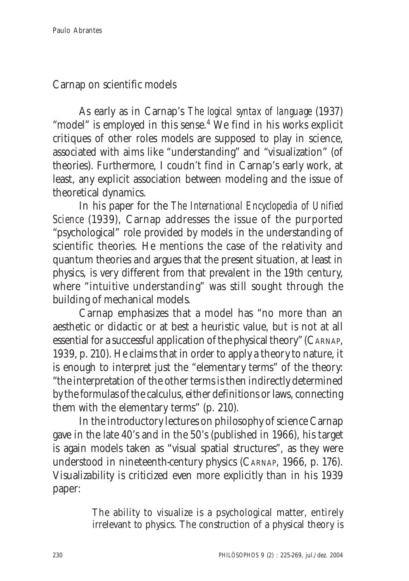Carnap on scientific models

As early as in Carnap's *The logical syntax of language* (1937) "model" is employed in this sense.<sup>4</sup> We find in his works explicit critiques of other roles models are supposed to play in science, associated with aims like "understanding" and "visualization" (of theories). Furthermore, I coudn't find in Carnap's early work, at least, any explicit association between modeling and the issue of theoretical dynamics.

In his paper for the *The International Encyclopedia of Unified Science* (1939), Carnap addresses the issue of the purported "psychological" role provided by models in the understanding of scientific theories. He mentions the case of the relativity and quantum theories and argues that the present situation, at least in physics, is very different from that prevalent in the 19th century, where "intuitive understanding" was still sought through the building of mechanical models.

Carnap emphasizes that a model has "no more than an aesthetic or didactic or at best a heuristic value, but is not at all essential for a successful application of the physical theory" (CARNAP, 1939, p. 210). He claims that in order to apply a theory to nature, it is enough to interpret just the "elementary terms" of the theory: "the interpretation of the other terms is then indirectly determined by the formulas of the calculus, either definitions or laws, connecting them with the elementary terms" (p. 210).

In the introductory lectures on philosophy of science Carnap gave in the late 40's and in the 50's (published in 1966), his target is again models taken as "visual spatial structures", as they were understood in nineteenth-century physics (CARNAP, 1966, p. 176). Visualizability is criticized even more explicitly than in his 1939 paper:

> The ability to visualize is a psychological matter, entirely irrelevant to physics. The construction of a physical theory is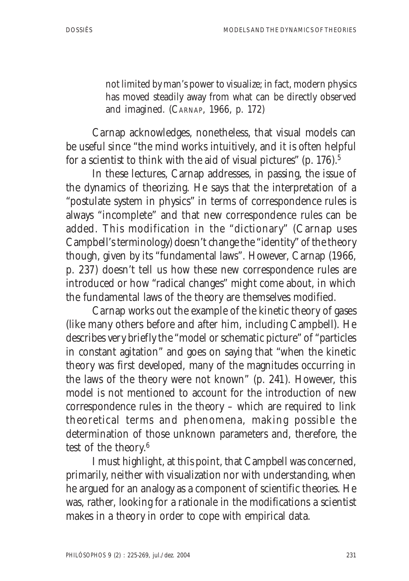not limited by man's power to visualize; in fact, modern physics has moved steadily away from what can be directly observed and imagined. (CARNAP, 1966, p. 172)

Carnap acknowledges, nonetheless, that visual models can be useful since "the mind works intuitively, and it is often helpful for a scientist to think with the aid of visual pictures" (p. 176).<sup>5</sup>

In these lectures, Carnap addresses, in passing, the issue of the dynamics of theorizing. He says that the interpretation of a "postulate system in physics" in terms of correspondence rules is always "incomplete" and that new correspondence rules can be added. This modification in the "dictionary" (Carnap uses Campbell's terminology) doesn't change the "identity" of the theory though, given by its "fundamental laws". However, Carnap (1966, p. 237) doesn't tell us how these new correspondence rules are introduced or how "radical changes" might come about, in which the fundamental laws of the theory are themselves modified.

Carnap works out the example of the kinetic theory of gases (like many others before and after him, including Campbell). He describes very briefly the "model or schematic picture" of "particles in constant agitation" and goes on saying that "when the kinetic theory was first developed, many of the magnitudes occurring in the laws of the theory were not known" (p. 241). However, this model is not mentioned to account for the introduction of new correspondence rules in the theory – which are required to link theoretical terms and phenomena, making possible the determination of those unknown parameters and, therefore, the test of the theory.6

I must highlight, at this point, that Campbell was concerned, primarily, neither with visualization nor with understanding, when he argued for an analogy as a component of scientific theories. He was, rather, looking for a rationale in the modifications a scientist makes in a theory in order to cope with empirical data.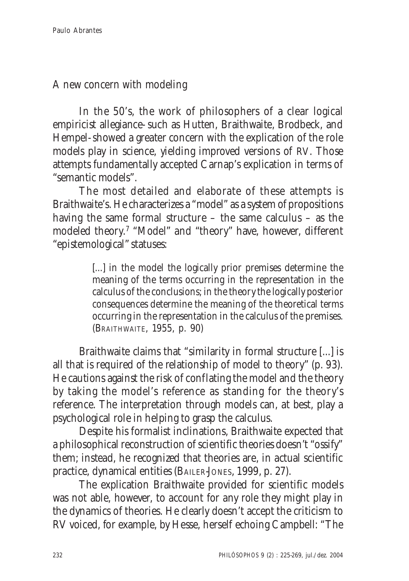A new concern with modeling

In the 50's, the work of philosophers of a clear logical empiricist allegiance- such as Hutten, Braithwaite, Brodbeck, and Hempel- showed a greater concern with the explication of the role models play in science, yielding improved versions of RV. Those attempts fundamentally accepted Carnap's explication in terms of "semantic models".

The most detailed and elaborate of these attempts is Braithwaite's. He characterizes a "model" as a system of propositions having the same formal structure – the same calculus – as the modeled theory.<sup>7</sup> "Model" and "theory" have, however, different "epistemological" statuses:

> [...] in the model the logically prior premises determine the meaning of the terms occurring in the representation in the calculus of the conclusions; in the theory the logically posterior consequences determine the meaning of the theoretical terms occurring in the representation in the calculus of the premises. (BRAITHWAITE, 1955, p. 90)

Braithwaite claims that "similarity in formal structure [...] is all that is required of the relationship of model to theory" (p. 93). He cautions against the risk of conflating the model and the theory by taking the model's reference as standing for the theory's reference. The interpretation through models can, at best, play a psychological role in helping to grasp the calculus.

Despite his formalist inclinations, Braithwaite expected that a philosophical reconstruction of scientific theories doesn't "ossify" them; instead, he recognized that theories are, in actual scientific practice, dynamical entities (BAILER-JONES, 1999, p. 27).

The explication Braithwaite provided for scientific models was not able, however, to account for any role they might play in the dynamics of theories. He clearly doesn't accept the criticism to RV voiced, for example, by Hesse, herself echoing Campbell: "The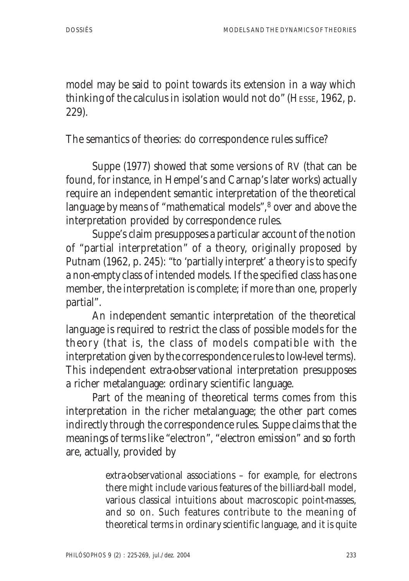model may be said to point towards its extension in a way which thinking of the calculus in isolation would not do" (HESSE, 1962, p. 229).

The semantics of theories: do correspondence rules suffice?

Suppe (1977) showed that some versions of RV (that can be found, for instance, in Hempel's and Carnap's later works) actually require an independent semantic interpretation of the theoretical language by means of "mathematical models",<sup>8</sup> over and above the interpretation provided by correspondence rules.

Suppe's claim presupposes a particular account of the notion of "partial interpretation" of a theory, originally proposed by Putnam (1962, p. 245): "to 'partially interpret' a theory is to specify a non-empty class of intended models. If the specified class has one member, the interpretation is complete; if more than one, properly partial".

An independent semantic interpretation of the theoretical language is required to restrict the class of possible models for the theory (that is, the class of models compatible with the interpretation given by the correspondence rules to low-level terms). This independent extra-observational interpretation presupposes a richer metalanguage: ordinary scientific language.

Part of the meaning of theoretical terms comes from this interpretation in the richer metalanguage; the other part comes indirectly through the correspondence rules. Suppe claims that the meanings of terms like "electron", "electron emission" and so forth are, actually, provided by

> extra-observational associations – for example, for electrons there might include various features of the billiard-ball model, various classical intuitions about macroscopic point-masses, and so on. Such features contribute to the meaning of theoretical terms in ordinary scientific language, and it is quite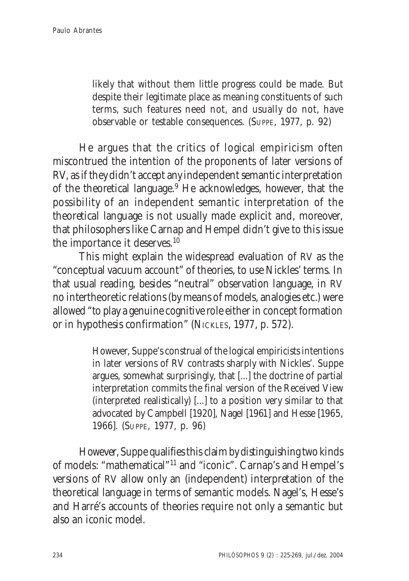likely that without them little progress could be made. But despite their legitimate place as meaning constituents of such terms, such features need not, and usually do not, have observable or testable consequences. (SUPPE, 1977, p. 92)

He argues that the critics of logical empiricism often miscontrued the intention of the proponents of later versions of RV, as if they didn't accept any independent semantic interpretation of the theoretical language.<sup>9</sup> He acknowledges, however, that the possibility of an independent semantic interpretation of the theoretical language is not usually made explicit and, moreover, that philosophers like Carnap and Hempel didn't give to this issue the importance it deserves.10

This might explain the widespread evaluation of RV as the "conceptual vacuum account" of theories, to use Nickles' terms. In that usual reading, besides "neutral" observation language, in RV no intertheoretic relations (by means of models, analogies etc.) were allowed "to play a genuine cognitive role either in concept formation or in hypothesis confirmation" (NICKLES, 1977, p. 572).

> However, Suppe's construal of the logical empiricists intentions in later versions of RV contrasts sharply with Nickles'. Suppe argues, somewhat surprisingly, that [...] the doctrine of partial interpretation commits the final version of the Received View (interpreted realistically) [...] to a position very similar to that advocated by Campbell [1920], Nagel [1961] and Hesse [1965, 1966]. (SUPPE, 1977, p. 96)

However, Suppe qualifies this claim by distinguishing two kinds of models: "mathematical"11 and "iconic". Carnap's and Hempel's versions of RV allow only an (independent) interpretation of the theoretical language in terms of semantic models. Nagel's, Hesse's and Harré's accounts of theories require not only a semantic but also an iconic model.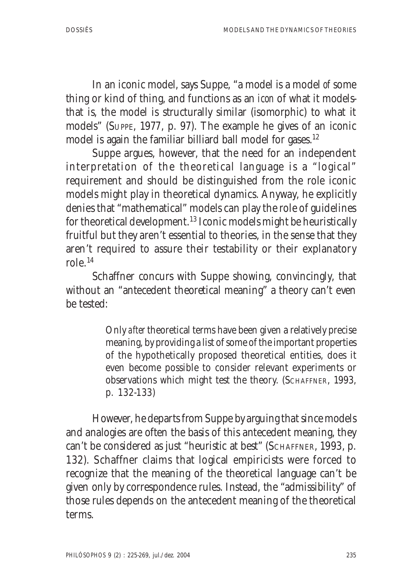In an iconic model, says Suppe, "a model is a model *of* some thing or kind of thing, and functions as an *icon* of what it modelsthat is, the model is structurally similar (isomorphic) to what it models" (SUPPE, 1977, p. 97). The example he gives of an iconic model is again the familiar billiard ball model for gases.<sup>12</sup>

Suppe argues, however, that the need for an independent interpretation of the theoretical language is a "logical" requirement and should be distinguished from the role iconic models might play in theoretical dynamics. Anyway, he explicitly denies that "mathematical" models can play the role of guidelines for theoretical development.13 Iconic models might be heuristically fruitful but they aren't essential to theories, in the sense that they aren't required to assure their testability or their explanatory role  $^{14}$ 

Schaffner concurs with Suppe showing, convincingly, that without an "antecedent theoretical meaning" a theory can't even be tested:

> Only *after* theoretical terms have been given a relatively precise meaning, by providing a list of some of the important properties of the hypothetically proposed theoretical entities, does it even become possible to consider relevant experiments or observations which might test the theory. (SCHAFFNER, 1993, p. 132-133)

However, he departs from Suppe by arguing that since models and analogies are often the basis of this antecedent meaning, they can't be considered as just "heuristic at best" (SCHAFFNER, 1993, p. 132). Schaffner claims that logical empiricists were forced to recognize that the meaning of the theoretical language can't be given only by correspondence rules. Instead, the "admissibility" of those rules depends on the antecedent meaning of the theoretical terms.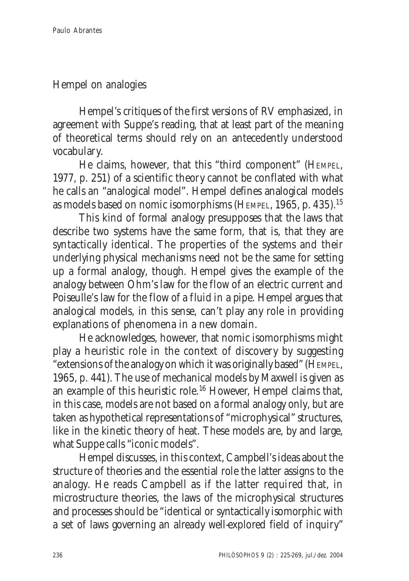## Hempel on analogies

Hempel's critiques of the first versions of RV emphasized, in agreement with Suppe's reading, that at least part of the meaning of theoretical terms should rely on an antecedently understood vocabulary.

He claims, however, that this "third component" (HEMPEL, 1977, p. 251) of a scientific theory cannot be conflated with what he calls an "analogical model". Hempel defines analogical models as models based on nomic isomorphisms (HEMPEL, 1965, p. 435).15

This kind of formal analogy presupposes that the laws that describe two systems have the same form, that is, that they are syntactically identical. The properties of the systems and their underlying physical mechanisms need not be the same for setting up a formal analogy, though. Hempel gives the example of the analogy between Ohm's law for the flow of an electric current and Poiseulle's law for the flow of a fluid in a pipe. Hempel argues that analogical models, in this sense, can't play any role in providing explanations of phenomena in a new domain.

He acknowledges, however, that nomic isomorphisms might play a heuristic role in the context of discovery by suggesting "extensions of the analogy on which it was originally based" (HEMPEL, 1965, p. 441). The use of mechanical models by Maxwell is given as an example of this heuristic role.16 However, Hempel claims that, in this case, models are not based on a formal analogy only, but are taken as hypothetical representations of "microphysical" structures, like in the kinetic theory of heat. These models are, by and large, what Suppe calls "iconic models".

Hempel discusses, in this context, Campbell's ideas about the structure of theories and the essential role the latter assigns to the analogy. He reads Campbell as if the latter required that, in microstructure theories, the laws of the microphysical structures and processes should be "identical or syntactically isomorphic with a set of laws governing an already well-explored field of inquiry"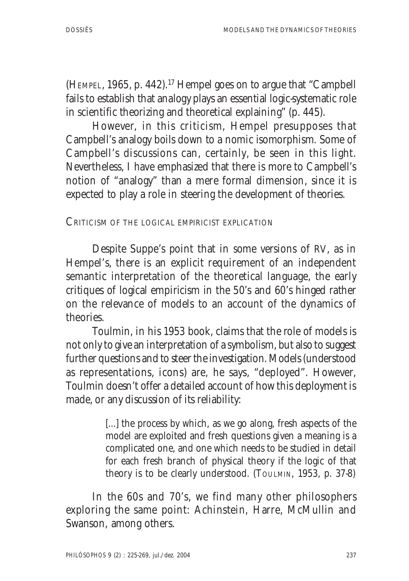(HEMPEL, 1965, p. 442).<sup>17</sup> Hempel goes on to argue that "Campbell" fails to establish that analogy plays an essential logic-systematic role in scientific theorizing and theoretical explaining" (p. 445).

However, in this criticism, Hempel presupposes that Campbell's analogy boils down to a nomic isomorphism. Some of Campbell's discussions can, certainly, be seen in this light. Nevertheless, I have emphasized that there is more to Campbell's notion of "analogy" than a mere formal dimension, since it is expected to play a role in steering the development of theories.

CRITICISM OF THE LOGICAL EMPIRICIST EXPLICATION

Despite Suppe's point that in some versions of RV, as in Hempel's, there is an explicit requirement of an independent semantic interpretation of the theoretical language, the early critiques of logical empiricism in the 50's and 60's hinged rather on the relevance of models to an account of the dynamics of theories.

Toulmin, in his 1953 book, claims that the role of models is not only to give an interpretation of a symbolism, but also to suggest further questions and to steer the investigation. Models (understood as representations, icons) are, he says, "deployed". However, Toulmin doesn't offer a detailed account of how this deployment is made, or any discussion of its reliability:

> [...] the process by which, as we go along, fresh aspects of the model are exploited and fresh questions given a meaning is a complicated one, and one which needs to be studied in detail for each fresh branch of physical theory if the logic of that theory is to be clearly understood. (TOULMIN, 1953, p. 37-8)

In the 60s and 70's, we find many other philosophers exploring the same point: Achinstein, Harre, McMullin and Swanson, among others.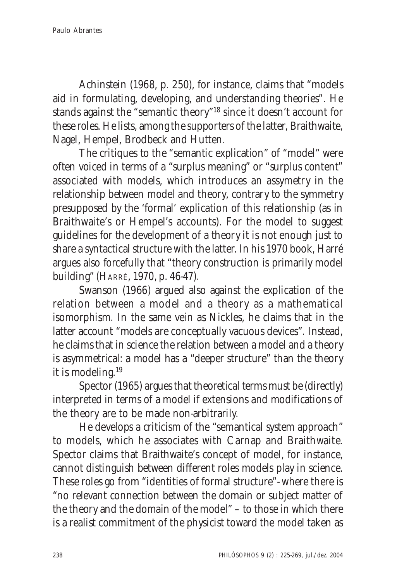Achinstein (1968, p. 250), for instance, claims that "models aid in formulating, developing, and understanding theories". He stands against the "semantic theory"18 since it doesn't account for these roles. He lists, among the supporters of the latter, Braithwaite, Nagel, Hempel, Brodbeck and Hutten.

The critiques to the "semantic explication" of "model" were often voiced in terms of a "surplus meaning" or "surplus content" associated with models, which introduces an assymetry in the relationship between model and theory, contrary to the symmetry presupposed by the 'formal' explication of this relationship (as in Braithwaite's or Hempel's accounts). For the model to suggest guidelines for the development of a theory it is not enough just to share a syntactical structure with the latter. In his 1970 book, Harré argues also forcefully that "theory construction is primarily model building" (HARRÉ, 1970, p. 46-47).

Swanson (1966) argued also against the explication of the relation between a model and a theory as a mathematical isomorphism. In the same vein as Nickles, he claims that in the latter account "models are conceptually vacuous devices". Instead, he claims that in science the relation between a model and a theory is asymmetrical: a model has a "deeper structure" than the theory it is modeling.19

Spector (1965) argues that theoretical terms must be (directly) interpreted in terms of a model if extensions and modifications of the theory are to be made non-arbitrarily.

He develops a criticism of the "semantical system approach" to models, which he associates with Carnap and Braithwaite. Spector claims that Braithwaite's concept of model, for instance, cannot distinguish between different roles models play in science. These roles go from "identities of formal structure"- where there is "no relevant connection between the domain or subject matter of the theory and the domain of the model" – to those in which there is a realist commitment of the physicist toward the model taken as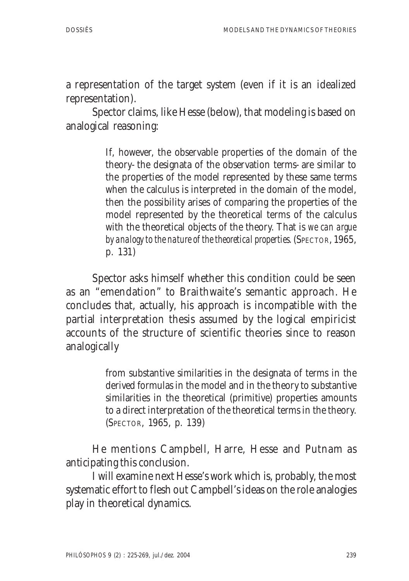a representation of the target system (even if it is an idealized representation).

Spector claims, like Hesse (below), that modeling is based on analogical reasoning:

> If, however, the observable properties of the domain of the theory- the designata of the observation terms- are similar to the properties of the model represented by these same terms when the calculus is interpreted in the domain of the model, then the possibility arises of comparing the properties of the model represented by the theoretical terms of the calculus with the theoretical objects of the theory. That is *we can argue* by analogy to the nature of the theoretical properties. (SPECTOR, 1965, p. 131)

Spector asks himself whether this condition could be seen as an "emendation" to Braithwaite's semantic approach. He concludes that, actually, his approach is incompatible with the partial interpretation thesis assumed by the logical empiricist accounts of the structure of scientific theories since to reason analogically

> from substantive similarities in the designata of terms in the derived formulas in the model and in the theory to substantive similarities in the theoretical (primitive) properties amounts to a direct interpretation of the theoretical terms in the theory. (SPECTOR, 1965, p. 139)

He mentions Campbell, Harre, Hesse and Putnam as anticipating this conclusion.

I will examine next Hesse's work which is, probably, the most systematic effort to flesh out Campbell's ideas on the role analogies play in theoretical dynamics.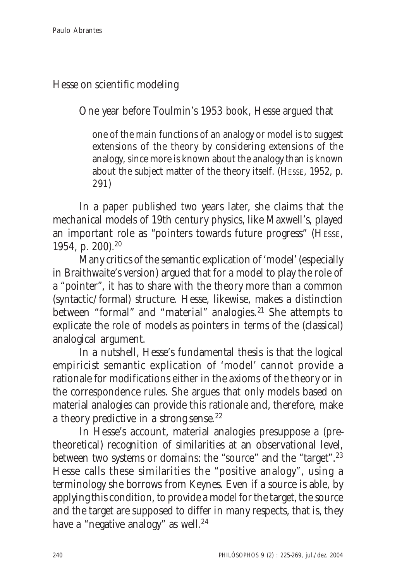## Hesse on scientific modeling

One year before Toulmin's 1953 book, Hesse argued that

one of the main functions of an analogy or model is to suggest extensions of the theory by considering extensions of the analogy, since more is known about the analogy than is known about the subject matter of the theory itself. (HESSE, 1952, p. 291)

In a paper published two years later, she claims that the mechanical models of 19th century physics, like Maxwell's, played an important role as "pointers towards future progress" (HESSE, 1954, p. 200).20

Many critics of the semantic explication of 'model' (especially in Braithwaite's version) argued that for a model to play the role of a "pointer", it has to share with the theory more than a common (syntactic/formal) structure. Hesse, likewise, makes a distinction between "formal" and "material" analogies.<sup>21</sup> She attempts to explicate the role of models as pointers in terms of the (classical) analogical argument.

In a nutshell, Hesse's fundamental thesis is that the logical empiricist semantic explication of 'model' cannot provide a rationale for modifications either in the axioms of the theory or in the correspondence rules. She argues that only models based on material analogies can provide this rationale and, therefore, make a theory predictive in a strong sense.<sup>22</sup>

In Hesse's account, material analogies presuppose a (pretheoretical) recognition of similarities at an observational level, between two systems or domains: the "source" and the "target".23 Hesse calls these similarities the "positive analogy", using a terminology she borrows from Keynes. Even if a source is able, by applying this condition, to provide a model for the target, the source and the target are supposed to differ in many respects, that is, they have a "negative analogy" as well. $24$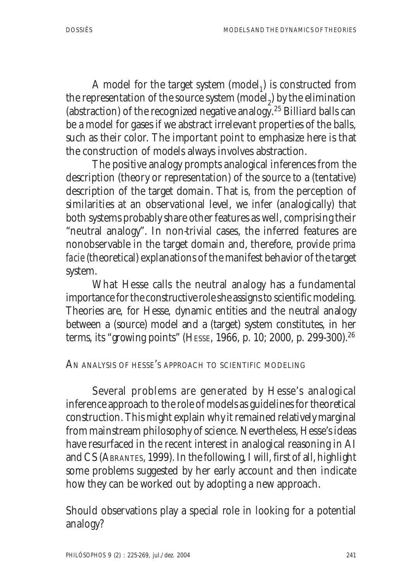A model for the target system  $(mod$  all is constructed from the representation of the source system  $\pmod{p}$  by the elimination (abstraction) of the recognized negative analogy.25 Billiard balls can be a model for gases if we abstract irrelevant properties of the balls, such as their color. The important point to emphasize here is that the construction of models always involves abstraction.

The positive analogy prompts analogical inferences from the description (theory or representation) of the source to a (tentative) description of the target domain. That is, from the perception of similarities at an observational level, we infer (analogically) that both systems probably share other features as well, comprising their "neutral analogy". In non-trivial cases, the inferred features are nonobservable in the target domain and, therefore, provide *prima facie* (theoretical) explanations of the manifest behavior of the target system.

What Hesse calls the neutral analogy has a fundamental importance for the constructive role she assigns to scientific modeling. Theories are, for Hesse, dynamic entities and the neutral analogy between a (source) model and a (target) system constitutes, in her terms, its "growing points" (HESSE, 1966, p. 10; 2000, p. 299-300).26

## AN ANALYSIS OF HESSE'S APPROACH TO SCIENTIFIC MODELING

Several problems are generated by Hesse's analogical inference approach to the role of models as guidelines for theoretical construction. This might explain why it remained relatively marginal from mainstream philosophy of science. Nevertheless, Hesse's ideas have resurfaced in the recent interest in analogical reasoning in AI and CS (ABRANTES, 1999). In the following, I will, first of all, highlight some problems suggested by her early account and then indicate how they can be worked out by adopting a new approach.

Should observations play a special role in looking for a potential analogy?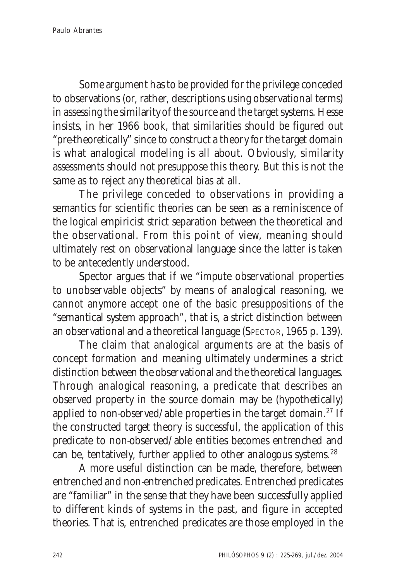Some argument has to be provided for the privilege conceded to observations (or, rather, descriptions using observational terms) in assessing the similarity of the source and the target systems. Hesse insists, in her 1966 book, that similarities should be figured out "pre-theoretically" since to construct a theory for the target domain is what analogical modeling is all about. Obviously, similarity assessments should not presuppose this theory. But this is not the same as to reject any theoretical bias at all.

The privilege conceded to observations in providing a semantics for scientific theories can be seen as a reminiscence of the logical empiricist strict separation between the theoretical and the observational. From this point of view, meaning should ultimately rest on observational language since the latter is taken to be antecedently understood.

Spector argues that if we "impute observational properties to unobservable objects" by means of analogical reasoning, we cannot anymore accept one of the basic presuppositions of the "semantical system approach", that is, a strict distinction between an observational and a theoretical language (SPECTOR, 1965 p. 139).

The claim that analogical arguments are at the basis of concept formation and meaning ultimately undermines a strict distinction between the observational and the theoretical languages. Through analogical reasoning, a predicate that describes an observed property in the source domain may be (hypothetically) applied to non-observed/able properties in the target domain.27 If the constructed target theory is successful, the application of this predicate to non-observed/able entities becomes entrenched and can be, tentatively, further applied to other analogous systems.28

A more useful distinction can be made, therefore, between entrenched and non-entrenched predicates. Entrenched predicates are "familiar" in the sense that they have been successfully applied to different kinds of systems in the past, and figure in accepted theories. That is, entrenched predicates are those employed in the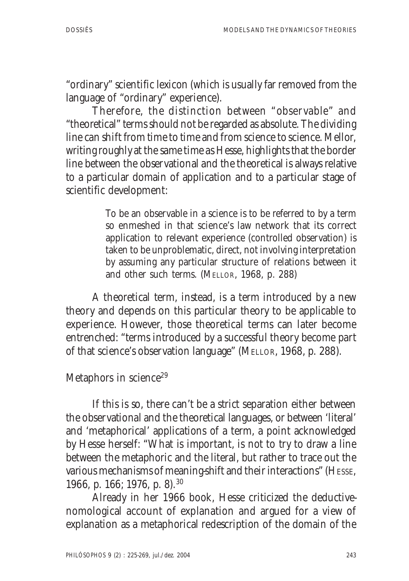"ordinary" scientific lexicon (which is usually far removed from the language of "ordinary" experience).

Therefore, the distinction between "observable" and "theoretical" terms should not be regarded as absolute. The dividing line can shift from time to time and from science to science. Mellor, writing roughly at the same time as Hesse, highlights that the border line between the observational and the theoretical is always relative to a particular domain of application and to a particular stage of scientific development:

> To be an observable in a science is to be referred to by a term so enmeshed in that science's law network that its correct application to relevant experience (controlled observation) is taken to be unproblematic, direct, not involving interpretation by assuming any particular structure of relations between it and other such terms. (MELLOR, 1968, p. 288)

A theoretical term, instead, is a term introduced by a new theory and depends on this particular theory to be applicable to experience. However, those theoretical terms can later become entrenched: "terms introduced by a successful theory become part of that science's observation language" (MELLOR, 1968, p. 288).

Metaphors in science<sup>29</sup>

If this is so, there can't be a strict separation either between the observational and the theoretical languages, or between 'literal' and 'metaphorical' applications of a term, a point acknowledged by Hesse herself: "What is important, is not to try to draw a line between the metaphoric and the literal, but rather to trace out the various mechanisms of meaning-shift and their interactions" (HESSE, 1966, p. 166; 1976, p. 8).30

Already in her 1966 book, Hesse criticized the deductivenomological account of explanation and argued for a view of explanation as a metaphorical redescription of the domain of the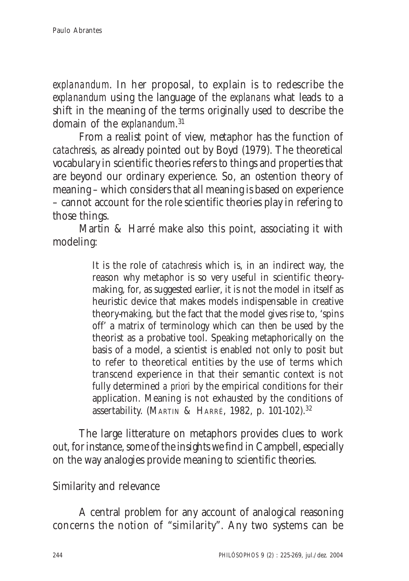*explanandum*. In her proposal, to explain is to redescribe the *explanandum* using the language of the *explanans* what leads to a shift in the meaning of the terms originally used to describe the domain of the *explanandum*. 31

From a realist point of view, metaphor has the function of *catachresis*, as already pointed out by Boyd (1979). The theoretical vocabulary in scientific theories refers to things and properties that are beyond our ordinary experience. So, an ostention theory of meaning – which considers that all meaning is based on experience – cannot account for the role scientific theories play in refering to those things.

Martin & Harré make also this point, associating it with modeling:

> It is the role of *catachresis* which is, in an indirect way, the reason why metaphor is so very useful in scientific theorymaking, for, as suggested earlier, it is not the model in itself as heuristic device that makes models indispensable in creative theory-making, but the fact that the model gives rise to, 'spins off' a matrix of terminology which can then be used by the theorist as a probative tool. Speaking metaphorically on the basis of a model, a scientist is enabled not only to posit but to refer to theoretical entities by the use of terms which transcend experience in that their semantic context is not fully determined *a priori* by the empirical conditions for their application. Meaning is not exhausted by the conditions of assertability. (MARTIN & HARRÉ, 1982, p. 101-102).<sup>32</sup>

The large litterature on metaphors provides clues to work out, for instance, some of the insights we find in Campbell, especially on the way analogies provide meaning to scientific theories.

## Similarity and relevance

A central problem for any account of analogical reasoning concerns the notion of "similarity". Any two systems can be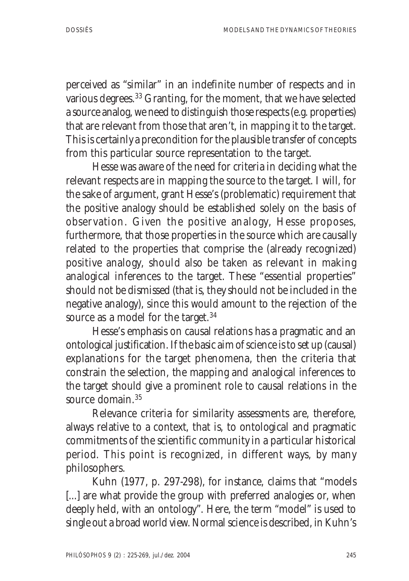perceived as "similar" in an indefinite number of respects and in various degrees.33 Granting, for the moment, that we have selected a source analog, we need to distinguish those respects (e.g. properties) that are relevant from those that aren't, in mapping it to the target. This is certainly a precondition for the plausible transfer of concepts from this particular source representation to the target.

Hesse was aware of the need for criteria in deciding what the relevant respects are in mapping the source to the target. I will, for the sake of argument, grant Hesse's (problematic) requirement that the positive analogy should be established solely on the basis of observation. Given the positive analogy, Hesse proposes, furthermore, that those properties in the source which are causally related to the properties that comprise the (already recognized) positive analogy, should also be taken as relevant in making analogical inferences to the target. These "essential properties" should not be dismissed (that is, they should not be included in the negative analogy), since this would amount to the rejection of the source as a model for the target.<sup>34</sup>

Hesse's emphasis on causal relations has a pragmatic and an ontological justification. If the basic aim of science is to set up (causal) explanations for the target phenomena, then the criteria that constrain the selection, the mapping and analogical inferences to the target should give a prominent role to causal relations in the source domain.<sup>35</sup>

Relevance criteria for similarity assessments are, therefore, always relative to a context, that is, to ontological and pragmatic commitments of the scientific community in a particular historical period. This point is recognized, in different ways, by many philosophers.

Kuhn (1977, p. 297-298), for instance, claims that "models [...] are what provide the group with preferred analogies or, when deeply held, with an ontology". Here, the term "model" is used to single out a broad world view. Normal science is described, in Kuhn's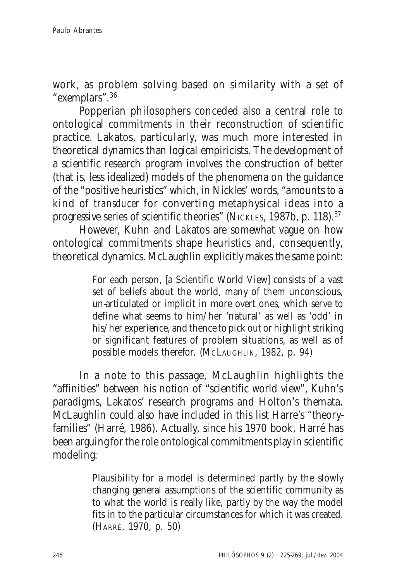work, as problem solving based on similarity with a set of "exemplars".36

Popperian philosophers conceded also a central role to ontological commitments in their reconstruction of scientific practice. Lakatos, particularly, was much more interested in theoretical dynamics than logical empiricists. The development of a scientific research program involves the construction of better (that is, less idealized) models of the phenomena on the guidance of the "positive heuristics" which, in Nickles' words, "amounts to a kind of *transducer* for converting metaphysical ideas into a progressive series of scientific theories" (NICKLES, 1987b, p. 118).37

However, Kuhn and Lakatos are somewhat vague on how ontological commitments shape heuristics and, consequently, theoretical dynamics. McLaughlin explicitly makes the same point:

> For each person, [a Scientific World View] consists of a vast set of beliefs about the world, many of them unconscious, un-articulated or implicit in more overt ones, which serve to define what seems to him/her 'natural' as well as 'odd' in his/her experience, and thence to pick out or highlight striking or significant features of problem situations, as well as of possible models therefor. (MCLAUGHLIN, 1982, p. 94)

In a note to this passage, McLaughlin highlights the "affinities" between his notion of "scientific world view", Kuhn's paradigms, Lakatos' research programs and Holton's themata. McLaughlin could also have included in this list Harre's "theoryfamilies" (Harré, 1986). Actually, since his 1970 book, Harré has been arguing for the role ontological commitments play in scientific modeling:

> Plausibility for a model is determined partly by the slowly changing general assumptions of the scientific community as to what the world is really like, partly by the way the model fits in to the particular circumstances for which it was created. (HARRÉ, 1970, p. 50)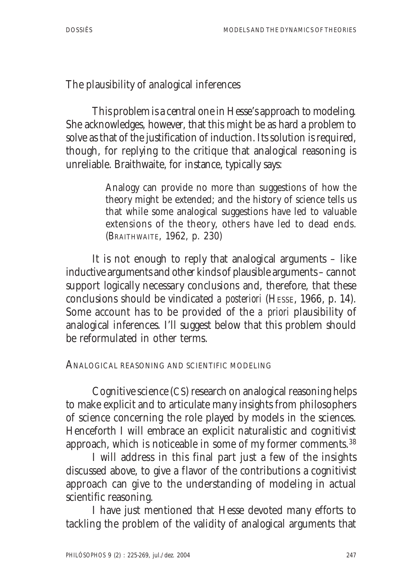## The plausibility of analogical inferences

This problem is a central one in Hesse's approach to modeling. She acknowledges, however, that this might be as hard a problem to solve as that of the justification of induction. Its solution is required, though, for replying to the critique that analogical reasoning is unreliable. Braithwaite, for instance, typically says:

> Analogy can provide no more than suggestions of how the theory might be extended; and the history of science tells us that while some analogical suggestions have led to valuable extensions of the theory, others have led to dead ends. (BRAITHWAITE, 1962, p. 230)

It is not enough to reply that analogical arguments – like inductive arguments and other kinds of plausible arguments – cannot support logically necessary conclusions and, therefore, that these conclusions should be vindicated *a posteriori* (HESSE, 1966, p. 14). Some account has to be provided of the *a priori* plausibility of analogical inferences. I'll suggest below that this problem should be reformulated in other terms.

#### ANALOGICAL REASONING AND SCIENTIFIC MODELING

Cognitive science (CS) research on analogical reasoning helps to make explicit and to articulate many insights from philosophers of science concerning the role played by models in the sciences. Henceforth I will embrace an explicit naturalistic and cognitivist approach, which is noticeable in some of my former comments.38

I will address in this final part just a few of the insights discussed above, to give a flavor of the contributions a cognitivist approach can give to the understanding of modeling in actual scientific reasoning.

I have just mentioned that Hesse devoted many efforts to tackling the problem of the validity of analogical arguments that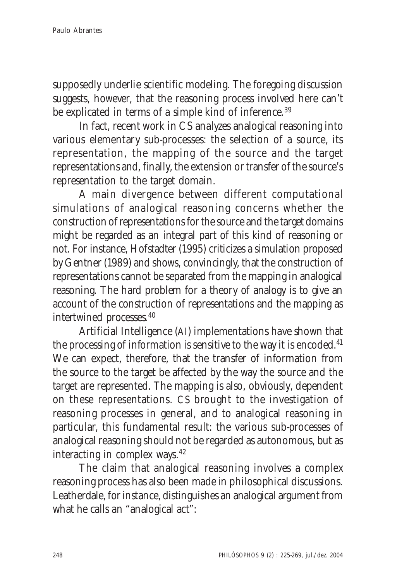supposedly underlie scientific modeling. The foregoing discussion suggests, however, that the reasoning process involved here can't be explicated in terms of a simple kind of inference.<sup>39</sup>

In fact, recent work in CS analyzes analogical reasoning into various elementary sub-processes: the selection of a source, its representation, the mapping of the source and the target representations and, finally, the extension or transfer of the source's representation to the target domain.

A main divergence between different computational simulations of analogical reasoning concerns whether the construction of representations for the source and the target domains might be regarded as an integral part of this kind of reasoning or not. For instance, Hofstadter (1995) criticizes a simulation proposed by Gentner (1989) and shows, convincingly, that the construction of representations cannot be separated from the mapping in analogical reasoning. The hard problem for a theory of analogy is to give an account of the construction of representations and the mapping as intertwined processes.40

Artificial Intelligence (AI) implementations have shown that the processing of information is sensitive to the way it is encoded.<sup>41</sup> We can expect, therefore, that the transfer of information from the source to the target be affected by the way the source and the target are represented. The mapping is also, obviously, dependent on these representations. CS brought to the investigation of reasoning processes in general, and to analogical reasoning in particular, this fundamental result: the various sub-processes of analogical reasoning should not be regarded as autonomous, but as interacting in complex ways.42

The claim that analogical reasoning involves a complex reasoning process has also been made in philosophical discussions. Leatherdale, for instance, distinguishes an analogical argument from what he calls an "analogical act":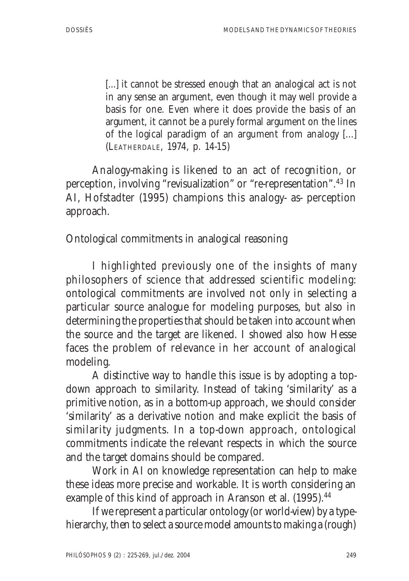[...] it cannot be stressed enough that an analogical act is not in any sense an argument, even though it may well provide a basis for one. Even where it does provide the basis of an argument, it cannot be a purely formal argument on the lines of the logical paradigm of an argument from analogy [...] (LEATHERDALE, 1974, p. 14-15)

Analogy-making is likened to an act of recognition, or perception, involving "revisualization" or "re-representation".43 In AI, Hofstadter (1995) champions this analogy- as- perception approach.

Ontological commitments in analogical reasoning

I highlighted previously one of the insights of many philosophers of science that addressed scientific modeling: ontological commitments are involved not only in selecting a particular source analogue for modeling purposes, but also in determining the properties that should be taken into account when the source and the target are likened. I showed also how Hesse faces the problem of relevance in her account of analogical modeling.

A distinctive way to handle this issue is by adopting a topdown approach to similarity. Instead of taking 'similarity' as a primitive notion, as in a bottom-up approach, we should consider 'similarity' as a derivative notion and make explicit the basis of similarity judgments. In a top-down approach, ontological commitments indicate the relevant respects in which the source and the target domains should be compared.

Work in AI on knowledge representation can help to make these ideas more precise and workable. It is worth considering an example of this kind of approach in Aranson et al. (1995).<sup>44</sup>

If we represent a particular ontology (or world-view) by a typehierarchy, then to select a source model amounts to making a (rough)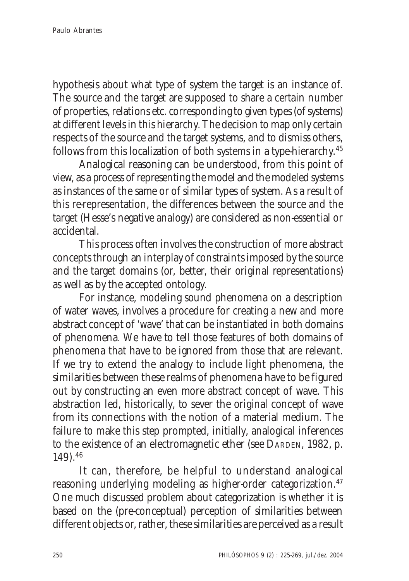hypothesis about what type of system the target is an instance of. The source and the target are supposed to share a certain number of properties, relations etc. corresponding to given types (of systems) at different levels in this hierarchy. The decision to map only certain respects of the source and the target systems, and to dismiss others, follows from this localization of both systems in a type-hierarchy.45

Analogical reasoning can be understood, from this point of view, as a process of representing the model and the modeled systems as instances of the same or of similar types of system. As a result of this re-representation, the differences between the source and the target (Hesse's negative analogy) are considered as non-essential or accidental.

This process often involves the construction of more abstract concepts through an interplay of constraints imposed by the source and the target domains (or, better, their original representations) as well as by the accepted ontology.

For instance, modeling sound phenomena on a description of water waves, involves a procedure for creating a new and more abstract concept of 'wave' that can be instantiated in both domains of phenomena. We have to tell those features of both domains of phenomena that have to be ignored from those that are relevant. If we try to extend the analogy to include light phenomena, the similarities between these realms of phenomena have to be figured out by constructing an even more abstract concept of wave. This abstraction led, historically, to sever the original concept of wave from its connections with the notion of a material medium. The failure to make this step prompted, initially, analogical inferences to the existence of an electromagnetic ether (see DARDEN, 1982, p. 149).46

It can, therefore, be helpful to understand analogical reasoning underlying modeling as higher-order categorization.<sup>47</sup> One much discussed problem about categorization is whether it is based on the (pre-conceptual) perception of similarities between different objects or, rather, these similarities are perceived as a result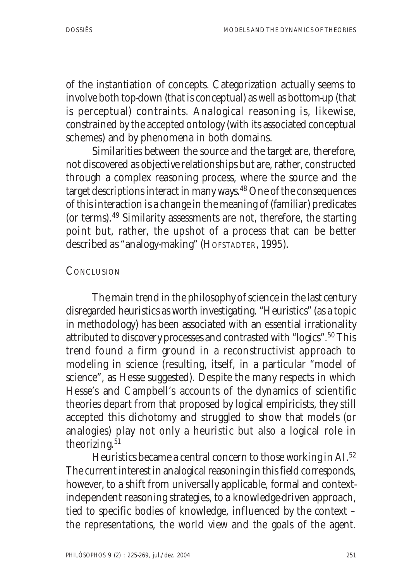of the instantiation of concepts. Categorization actually seems to involve both top-down (that is conceptual) as well as bottom-up (that is perceptual) contraints. Analogical reasoning is, likewise, constrained by the accepted ontology (with its associated conceptual schemes) and by phenomena in both domains.

Similarities between the source and the target are, therefore, not discovered as objective relationships but are, rather, constructed through a complex reasoning process, where the source and the target descriptions interact in many ways.48 One of the consequences of this interaction is a change in the meaning of (familiar) predicates (or terms).49 Similarity assessments are not, therefore, the starting point but, rather, the upshot of a process that can be better described as "analogy-making" (HOFSTADTER, 1995).

#### **CONCLUSION**

The main trend in the philosophy of science in the last century disregarded heuristics as worth investigating. "Heuristics" (as a topic in methodology) has been associated with an essential irrationality attributed to discovery processes and contrasted with "logics".50 This trend found a firm ground in a reconstructivist approach to modeling in science (resulting, itself, in a particular "model of science", as Hesse suggested). Despite the many respects in which Hesse's and Campbell's accounts of the dynamics of scientific theories depart from that proposed by logical empiricists, they still accepted this dichotomy and struggled to show that models (or analogies) play not only a heuristic but also a logical role in theorizing.<sup>51</sup>

Heuristics became a central concern to those working in AI.52 The current interest in analogical reasoning in this field corresponds, however, to a shift from universally applicable, formal and contextindependent reasoning strategies, to a knowledge-driven approach, tied to specific bodies of knowledge, influenced by the context – the representations, the world view and the goals of the agent.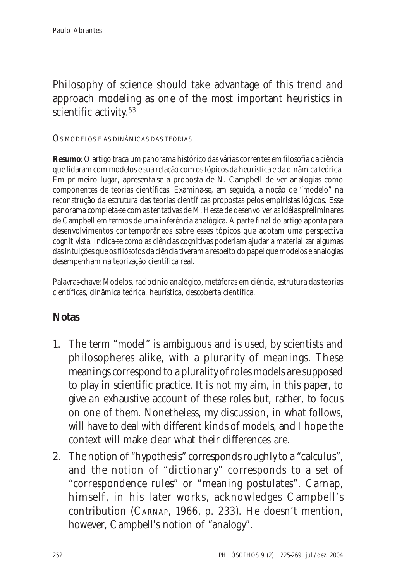# Philosophy of science should take advantage of this trend and approach modeling as one of the most important heuristics in scientific activity.<sup>53</sup>

OS MODELOS <sup>E</sup> AS DINÂMICAS DAS TEORIAS

**Resumo**: O artigo traça um panorama histórico das várias correntes em filosofia da ciência que lidaram com modelos e sua relação com os tópicos da heurística e da dinâmica teórica. Em primeiro lugar, apresenta-se a proposta de N. Campbell de ver analogias como componentes de teorias científicas. Examina-se, em seguida, a noção de "modelo" na reconstrução da estrutura das teorias científicas propostas pelos empiristas lógicos. Esse panorama completa-se com as tentativas de M. Hesse de desenvolver as idéias preliminares de Campbell em termos de uma inferência analógica. A parte final do artigo aponta para desenvolvimentos contemporâneos sobre esses tópicos que adotam uma perspectiva cognitivista. Indica-se como as ciências cognitivas poderiam ajudar a materializar algumas das intuições que os filósofos da ciência tiveram a respeito do papel que modelos e analogias desempenham na teorização científica real.

Palavras-chave: Modelos, raciocínio analógico, metáforas em ciência, estrutura das teorias científicas, dinâmica teórica, heurística, descoberta científica.

## **Notas**

- 1. The term "model" is ambiguous and is used, by scientists and philosopheres alike, with a plurarity of meanings. These meanings correspond to a plurality of roles models are supposed to play in scientific practice. It is not my aim, in this paper, to give an exhaustive account of these roles but, rather, to focus on one of them. Nonetheless, my discussion, in what follows, will have to deal with different kinds of models, and I hope the context will make clear what their differences are.
- 2. The notion of "hypothesis" corresponds roughly to a "calculus", and the notion of "dictionary" corresponds to a set of "correspondence rules" or "meaning postulates". Carnap, himself, in his later works, acknowledges Campbell's contribution (CARNAP, 1966, p. 233). He doesn't mention, however, Campbell's notion of "analogy".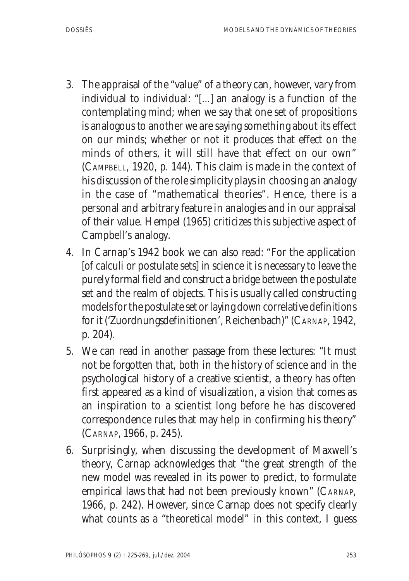- 3. The appraisal of the "value" of a theory can, however, vary from individual to individual: "[...] an analogy is a function of the contemplating mind; when we say that one set of propositions is analogous to another we are saying something about its effect on our minds; whether or not it produces that effect on the minds of others, it will still have that effect on our own" (CAMPBELL, 1920, p. 144). This claim is made in the context of his discussion of the role simplicity plays in choosing an analogy in the case of "mathematical theories". Hence, there is a personal and arbitrary feature in analogies and in our appraisal of their value. Hempel (1965) criticizes this subjective aspect of Campbell's analogy.
- 4. In Carnap's 1942 book we can also read: "For the application [of calculi or postulate sets] in science it is necessary to leave the purely formal field and construct a bridge between the postulate set and the realm of objects. This is usually called constructing models for the postulate set or laying down correlative definitions for it ('Zuordnungsdefinitionen', Reichenbach)" (CARNAP, 1942, p. 204).
- 5. We can read in another passage from these lectures: "It must not be forgotten that, both in the history of science and in the psychological history of a creative scientist, a theory has often first appeared as a kind of visualization, a vision that comes as an inspiration to a scientist long before he has discovered correspondence rules that may help in confirming his theory" (CARNAP, 1966, p. 245).
- 6. Surprisingly, when discussing the development of Maxwell's theory, Carnap acknowledges that "the great strength of the new model was revealed in its power to predict, to formulate empirical laws that had not been previously known" (CARNAP, 1966, p. 242). However, since Carnap does not specify clearly what counts as a "theoretical model" in this context, I guess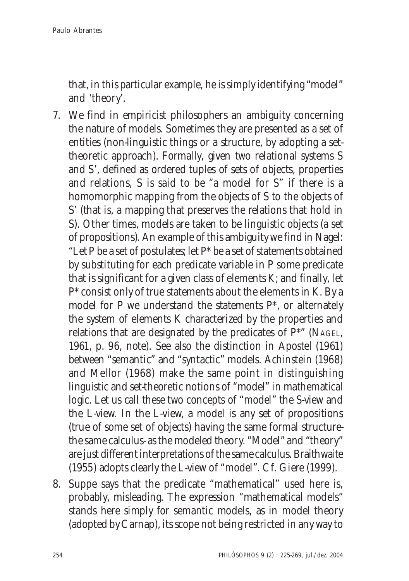that, in this particular example, he is simply identifying "model" and 'theory'.

- 7. We find in empiricist philosophers an ambiguity concerning the nature of models. Sometimes they are presented as a set of entities (non-linguistic things or a structure, by adopting a settheoretic approach). Formally, given two relational systems S and S', defined as ordered tuples of sets of objects, properties and relations, S is said to be "a model for S" if there is a homomorphic mapping from the objects of S to the objects of S' (that is, a mapping that preserves the relations that hold in S). Other times, models are taken to be linguistic objects (a set of propositions). An example of this ambiguity we find in Nagel: "Let P be a set of postulates; let  $P^*$  be a set of statements obtained by substituting for each predicate variable in P some predicate that is significant for a given class of elements K; and finally, let P\* consist only of true statements about the elements in K. By a model for P we understand the statements P\*, or alternately the system of elements K characterized by the properties and relations that are designated by the predicates of P\*" (NAGEL, 1961, p. 96, note). See also the distinction in Apostel (1961) between "semantic" and "syntactic" models. Achinstein (1968) and Mellor (1968) make the same point in distinguishing linguistic and set-theoretic notions of "model" in mathematical logic. Let us call these two concepts of "model" the S-view and the L-view. In the L-view, a model is any set of propositions (true of some set of objects) having the same formal structurethe same calculus- as the modeled theory. "Model" and "theory" are just different interpretations of the same calculus. Braithwaite (1955) adopts clearly the L-view of "model". Cf. Giere (1999).
- 8. Suppe says that the predicate "mathematical" used here is, probably, misleading. The expression "mathematical models" stands here simply for semantic models, as in model theory (adopted by Carnap), its scope not being restricted in any way to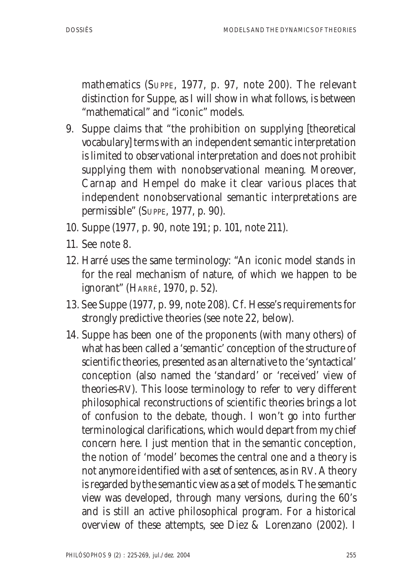mathematics (SUPPE, 1977, p. 97, note 200). The relevant distinction for Suppe, as I will show in what follows, is between "mathematical" and "iconic" models.

- 9. Suppe claims that "the prohibition on supplying [theoretical vocabulary] terms with an independent semantic interpretation is limited to observational interpretation and does not prohibit supplying them with nonobservational meaning. Moreover, Carnap and Hempel do make it clear various places that independent nonobservational semantic interpretations are permissible" (SUPPE, 1977, p. 90).
- 10. Suppe (1977, p. 90, note 191; p. 101, note 211).
- 11. See note 8.
- 12. Harré uses the same terminology: "An iconic model stands in for the real mechanism of nature, of which we happen to be ignorant" (HARRÉ, 1970, p. 52).
- 13. See Suppe (1977, p. 99, note 208). Cf. Hesse's requirements for strongly predictive theories (see note 22, below).
- 14. Suppe has been one of the proponents (with many others) of what has been called a 'semantic' conception of the structure of scientific theories, presented as an alternative to the 'syntactical' conception (also named the 'standard' or 'received' view of theories-RV). This loose terminology to refer to very different philosophical reconstructions of scientific theories brings a lot of confusion to the debate, though. I won't go into further terminological clarifications, which would depart from my chief concern here. I just mention that in the semantic conception, the notion of 'model' becomes the central one and a theory is not anymore identified with a set of sentences, as in RV. A theory is regarded by the semantic view as a set of models. The semantic view was developed, through many versions, during the 60's and is still an active philosophical program. For a historical overview of these attempts, see Diez & Lorenzano (2002). I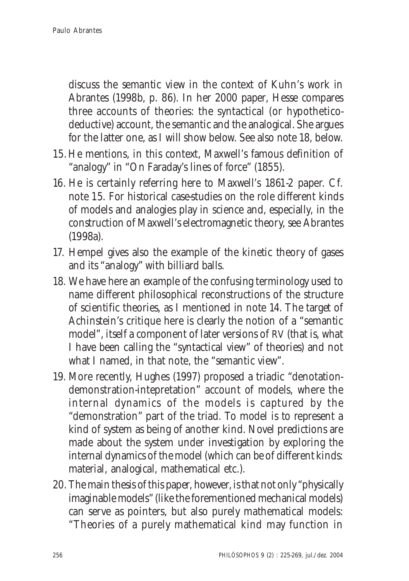discuss the semantic view in the context of Kuhn's work in Abrantes (1998b, p. 86). In her 2000 paper, Hesse compares three accounts of theories: the syntactical (or hypotheticodeductive) account, the semantic and the analogical. She argues for the latter one, as I will show below. See also note 18, below.

- 15. He mentions, in this context, Maxwell's famous definition of "analogy" in "On Faraday's lines of force" (1855).
- 16. He is certainly referring here to Maxwell's 1861-2 paper. Cf. note 15. For historical case-studies on the role different kinds of models and analogies play in science and, especially, in the construction of Maxwell's electromagnetic theory, see Abrantes (1998a).
- 17. Hempel gives also the example of the kinetic theory of gases and its "analogy" with billiard balls.
- 18. We have here an example of the confusing terminology used to name different philosophical reconstructions of the structure of scientific theories, as I mentioned in note 14. The target of Achinstein's critique here is clearly the notion of a "semantic model", itself a component of later versions of RV (that is, what I have been calling the "syntactical view" of theories) and not what I named, in that note, the "semantic view".
- 19. More recently, Hughes (1997) proposed a triadic "denotationdemonstration-intepretation" account of models, where the internal dynamics of the models is captured by the "demonstration" part of the triad. To model is to represent a kind of system as being of another kind. Novel predictions are made about the system under investigation by exploring the internal dynamics of the model (which can be of different kinds: material, analogical, mathematical etc.).
- 20. The main thesis of this paper, however, is that not only "physically imaginable models" (like the forementioned mechanical models) can serve as pointers, but also purely mathematical models: "Theories of a purely mathematical kind may function in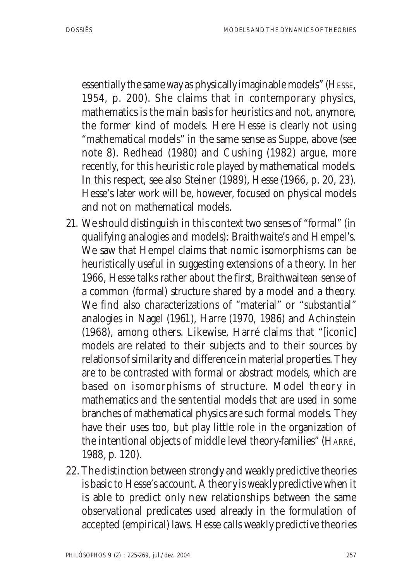essentially the same way as physically imaginable models" (HESSE, 1954, p. 200). She claims that in contemporary physics, mathematics is the main basis for heuristics and not, anymore, the former kind of models. Here Hesse is clearly not using "mathematical models" in the same sense as Suppe, above (see note 8). Redhead (1980) and Cushing (1982) argue, more recently, for this heuristic role played by mathematical models. In this respect, see also Steiner (1989), Hesse (1966, p. 20, 23). Hesse's later work will be, however, focused on physical models and not on mathematical models.

- 21. We should distinguish in this context two senses of "formal" (in qualifying analogies and models): Braithwaite's and Hempel's. We saw that Hempel claims that nomic isomorphisms can be heuristically useful in suggesting extensions of a theory. In her 1966, Hesse talks rather about the first, Braithwaitean sense of a common (formal) structure shared by a model and a theory. We find also characterizations of "material" or "substantial" analogies in Nagel (1961), Harre (1970, 1986) and Achinstein (1968), among others. Likewise, Harré claims that "[iconic] models are related to their subjects and to their sources by relations of similarity and difference in material properties. They are to be contrasted with formal or abstract models, which are based on isomorphisms of structure. Model theory in mathematics and the sentential models that are used in some branches of mathematical physics are such formal models. They have their uses too, but play little role in the organization of the intentional objects of middle level theory-families" (HARRÉ, 1988, p. 120).
- 22. The distinction between strongly and weakly predictive theories is basic to Hesse's account. A theory is weakly predictive when it is able to predict only new relationships between the same observational predicates used already in the formulation of accepted (empirical) laws. Hesse calls weakly predictive theories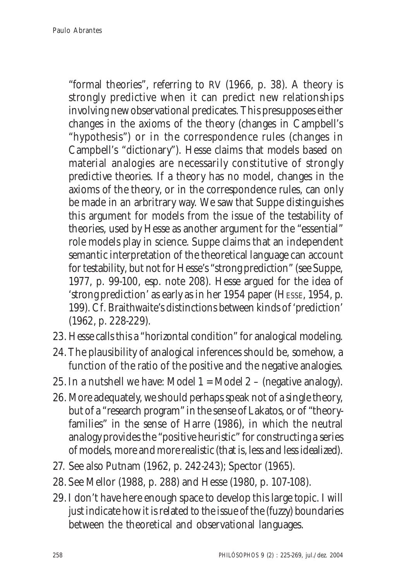"formal theories", referring to RV (1966, p. 38). A theory is strongly predictive when it can predict new relationships involving new observational predicates. This presupposes either changes in the axioms of the theory (changes in Campbell's "hypothesis") or in the correspondence rules (changes in Campbell's "dictionary"). Hesse claims that models based on material analogies are necessarily constitutive of strongly predictive theories. If a theory has no model, changes in the axioms of the theory, or in the correspondence rules, can only be made in an arbritrary way. We saw that Suppe distinguishes this argument for models from the issue of the testability of theories, used by Hesse as another argument for the "essential" role models play in science. Suppe claims that an independent semantic interpretation of the theoretical language can account for testability, but not for Hesse's "strong prediction" (see Suppe, 1977, p. 99-100, esp. note 208). Hesse argued for the idea of 'strong prediction' as early as in her 1954 paper (HESSE, 1954, p. 199). Cf. Braithwaite's distinctions between kinds of 'prediction' (1962, p. 228-229).

- 23. Hesse calls this a "horizontal condition" for analogical modeling.
- 24. The plausibility of analogical inferences should be, somehow, a function of the ratio of the positive and the negative analogies.
- 25. In a nutshell we have: Model  $1 =$  Model  $2 -$  (negative analogy).
- 26. More adequately, we should perhaps speak not of a single theory, but of a "research program" in the sense of Lakatos, or of "theoryfamilies" in the sense of Harre (1986), in which the neutral analogy provides the "positive heuristic" for constructing a series of models, more and more realistic (that is, less and less idealized).
- 27. See also Putnam (1962, p. 242-243); Spector (1965).
- 28. See Mellor (1988, p. 288) and Hesse (1980, p. 107-108).
- 29. I don't have here enough space to develop this large topic. I will just indicate how it is related to the issue of the (fuzzy) boundaries between the theoretical and observational languages.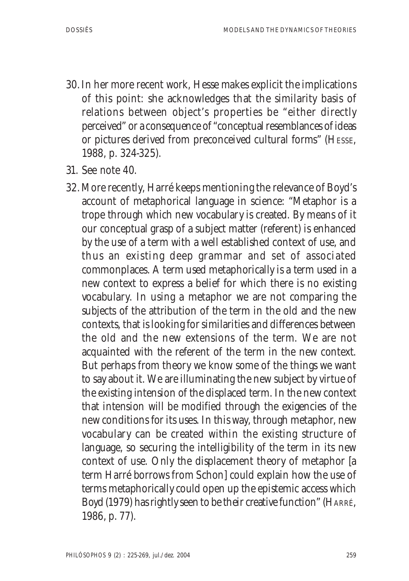- 30. In her more recent work, Hesse makes explicit the implications of this point: she acknowledges that the similarity basis of relations between object's properties be "either directly perceived" or a consequence of "conceptual resemblances of ideas or pictures derived from preconceived cultural forms" (HESSE, 1988, p. 324-325).
- 31. See note 40.
- 32. More recently, Harré keeps mentioning the relevance of Boyd's account of metaphorical language in science: "Metaphor is a trope through which new vocabulary is created. By means of it our conceptual grasp of a subject matter (referent) is enhanced by the use of a term with a well established context of use, and thus an existing deep grammar and set of associated commonplaces. A term used metaphorically is a term used in a new context to express a belief for which there is no existing vocabulary. In using a metaphor we are not comparing the subjects of the attribution of the term in the old and the new contexts, that is looking for similarities and differences between the old and the new extensions of the term. We are not acquainted with the referent of the term in the new context. But perhaps from theory we know some of the things we want to say about it. We are illuminating the new subject by virtue of the existing intension of the displaced term. In the new context that intension will be modified through the exigencies of the new conditions for its uses. In this way, through metaphor, new vocabulary can be created within the existing structure of language, so securing the intelligibility of the term in its new context of use. Only the displacement theory of metaphor [a term Harré borrows from Schon] could explain how the use of terms metaphorically could open up the epistemic access which Boyd (1979) has rightly seen to be their creative function" (HARRÉ, 1986, p. 77).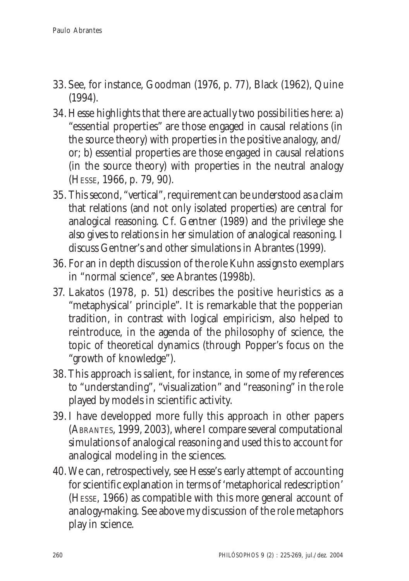- 33. See, for instance, Goodman (1976, p. 77), Black (1962), Quine (1994).
- 34. Hesse highlights that there are actually two possibilities here: a) "essential properties" are those engaged in causal relations (in the source theory) with properties in the positive analogy, and/ or; b) essential properties are those engaged in causal relations (in the source theory) with properties in the neutral analogy (HESSE, 1966, p. 79, 90).
- 35. This second, "vertical", requirement can be understood as a claim that relations (and not only isolated properties) are central for analogical reasoning. Cf. Gentner (1989) and the privilege she also gives to relations in her simulation of analogical reasoning. I discuss Gentner's and other simulations in Abrantes (1999).
- 36. For an in depth discussion of the role Kuhn assigns to exemplars in "normal science", see Abrantes (1998b).
- 37. Lakatos (1978, p. 51) describes the positive heuristics as a "metaphysical' principle". It is remarkable that the popperian tradition, in contrast with logical empiricism, also helped to reintroduce, in the agenda of the philosophy of science, the topic of theoretical dynamics (through Popper's focus on the "growth of knowledge").
- 38. This approach is salient, for instance, in some of my references to "understanding", "visualization" and "reasoning" in the role played by models in scientific activity.
- 39. I have developped more fully this approach in other papers (ABRANTES, 1999, 2003), where I compare several computational simulations of analogical reasoning and used this to account for analogical modeling in the sciences.
- 40. We can, retrospectively, see Hesse's early attempt of accounting for scientific explanation in terms of 'metaphorical redescription' (HESSE, 1966) as compatible with this more general account of analogy-making. See above my discussion of the role metaphors play in science.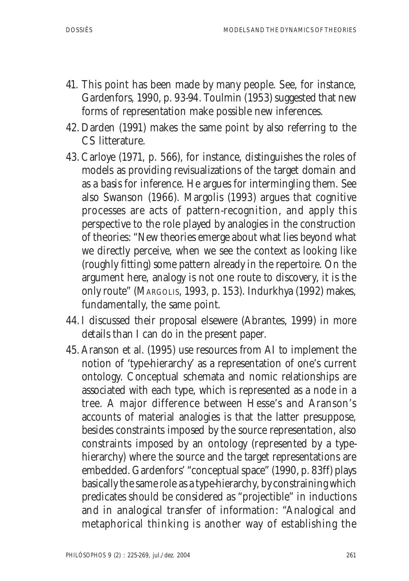- 41. This point has been made by many people. See, for instance, Gardenfors, 1990, p. 93-94. Toulmin (1953) suggested that new forms of representation make possible new inferences.
- 42. Darden (1991) makes the same point by also referring to the CS litterature.
- 43. Carloye (1971, p. 566), for instance, distinguishes the roles of models as providing revisualizations of the target domain and as a basis for inference. He argues for intermingling them. See also Swanson (1966). Margolis (1993) argues that cognitive processes are acts of pattern-recognition, and apply this perspective to the role played by analogies in the construction of theories: "New theories emerge about what lies beyond what we directly perceive, when we see the context as looking like (roughly fitting) some pattern already in the repertoire. On the argument here, analogy is not one route to discovery, it is the only route" (MARGOLIS, 1993, p. 153). Indurkhya (1992) makes, fundamentally, the same point.
- 44. I discussed their proposal elsewere (Abrantes, 1999) in more details than I can do in the present paper.
- 45. Aranson et al. (1995) use resources from AI to implement the notion of 'type-hierarchy' as a representation of one's current ontology. Conceptual schemata and nomic relationships are associated with each type, which is represented as a node in a tree. A major difference between Hesse's and Aranson's accounts of material analogies is that the latter presuppose, besides constraints imposed by the source representation, also constraints imposed by an ontology (represented by a typehierarchy) where the source and the target representations are embedded. Gardenfors' "conceptual space" (1990, p. 83ff) plays basically the same role as a type-hierarchy, by constraining which predicates should be considered as "projectible" in inductions and in analogical transfer of information: "Analogical and metaphorical thinking is another way of establishing the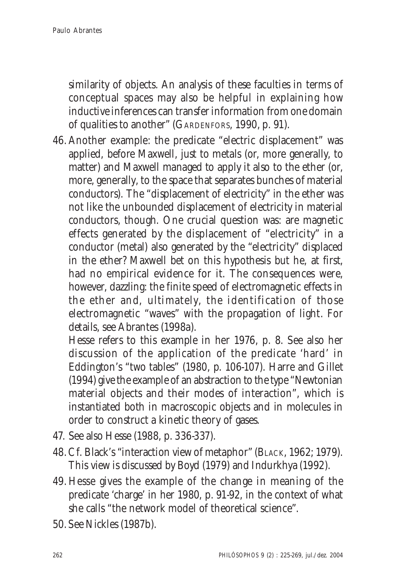similarity of objects. An analysis of these faculties in terms of conceptual spaces may also be helpful in explaining how inductive inferences can transfer information from one domain of qualities to another" (GARDENFORS, 1990, p. 91).

46. Another example: the predicate "electric displacement" was applied, before Maxwell, just to metals (or, more generally, to matter) and Maxwell managed to apply it also to the ether (or, more, generally, to the space that separates bunches of material conductors). The "displacement of electricity" in the ether was not like the unbounded displacement of electricity in material conductors, though. One crucial question was: are magnetic effects generated by the displacement of "electricity" in a conductor (metal) also generated by the "electricity" displaced in the ether? Maxwell bet on this hypothesis but he, at first, had no empirical evidence for it. The consequences were, however, dazzling: the finite speed of electromagnetic effects in the ether and, ultimately, the identification of those electromagnetic "waves" with the propagation of light. For details, see Abrantes (1998a).

Hesse refers to this example in her 1976, p. 8. See also her discussion of the application of the predicate 'hard' in Eddington's "two tables" (1980, p. 106-107). Harre and Gillet (1994) give the example of an abstraction to the type "Newtonian material objects and their modes of interaction", which is instantiated both in macroscopic objects and in molecules in order to construct a kinetic theory of gases.

- 47. See also Hesse (1988, p. 336-337).
- 48. Cf. Black's "interaction view of metaphor" (BLACK, 1962; 1979). This view is discussed by Boyd (1979) and Indurkhya (1992).
- 49. Hesse gives the example of the change in meaning of the predicate 'charge' in her 1980, p. 91-92, in the context of what she calls "the network model of theoretical science".
- 50. See Nickles (1987b).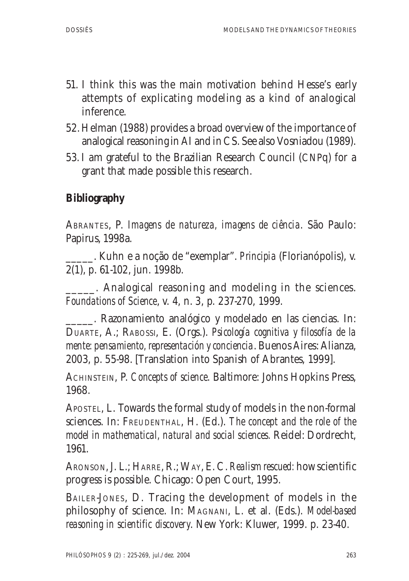- 51. I think this was the main motivation behind Hesse's early attempts of explicating modeling as a kind of analogical inference.
- 52. Helman (1988) provides a broad overview of the importance of analogical reasoning in AI and in CS. See also Vosniadou (1989).
- 53. I am grateful to the Brazilian Research Council (CNPq) for a grant that made possible this research.

## **Bibliography**

ABRANTES, P. *Imagens de natureza, imagens de ciência*. São Paulo: Papirus, 1998a.

\_\_\_\_\_. Kuhn e a noção de "exemplar". *Principia* (Florianópolis), v. 2(1), p. 61-102, jun. 1998b.

. Analogical reasoning and modeling in the sciences. *Foundations of Science*, v. 4, n. 3, p. 237-270, 1999.

\_\_\_\_\_. Razonamiento analógico y modelado en las ciencias. In: DUARTE, A.; RABOSSI, E. (Orgs.). *Psicología cognitiva y filosofía de la mente: pensamiento, representación y conciencia*. Buenos Aires: Alianza, 2003, p. 55-98. [Translation into Spanish of Abrantes, 1999].

ACHINSTEIN, P. *Concepts of science*. Baltimore: Johns Hopkins Press, 1968.

APOSTEL, L. Towards the formal study of models in the non-formal sciences. In: FREUDENTHAL, H. (Ed.). *The concept and the role of the model in mathematical, natural and social sciences.* Reidel: Dordrecht, 1961.

ARONSON, J. L.; HARRE, R.; WAY, E. C. *Realism rescued:* how scientific progress is possible. Chicago: Open Court, 1995.

BAILER-JONES, D. Tracing the development of models in the philosophy of science. In: MAGNANI, L. et al. (Eds.). *Model-based reasoning in scientific discovery*. New York: Kluwer, 1999. p. 23-40.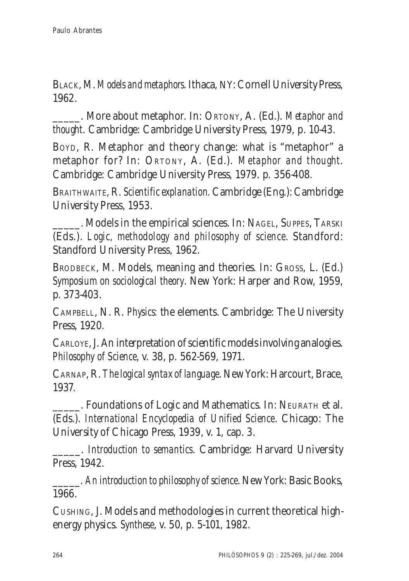BLACK, M. *Models and metaphors*. Ithaca, NY: Cornell University Press, 1962.

\_\_\_\_\_. More about metaphor. In: ORTONY, A. (Ed.). *Metaphor and thought*. Cambridge: Cambridge University Press, 1979, p. 10-43.

BOYD, R. Metaphor and theory change: what is "metaphor" a metaphor for? In: ORTONY, A. (Ed.). *Metaphor and thought*. Cambridge: Cambridge University Press, 1979. p. 356-408.

BRAITHWAITE, R. *Scientific explanation.* Cambridge (Eng.): Cambridge University Press, 1953.

\_\_\_\_\_. Models in the empirical sciences. In: NAGEL, SUPPES, TARSKI (Eds.). *Logic, methodology and philosophy of science*. Standford: Standford University Press, 1962.

BRODBECK, M. Models, meaning and theories. In: GROSS, L. (Ed.) *Symposium on sociological theory*. New York: Harper and Row, 1959, p. 373-403.

CAMPBELL, N. R. *Physics:* the elements. Cambridge: The University Press, 1920.

CARLOYE, J. An interpretation of scientific models involving analogies. *Philosophy of Science*, v. 38, p. 562-569, 1971.

CARNAP, R. *The logical syntax of language*. New York: Harcourt, Brace, 1937.

\_\_\_\_\_. Foundations of Logic and Mathematics. In: NEURATH et al. (Eds.). *International Encyclopedia of Unified Science*. Chicago: The University of Chicago Press, 1939, v. 1, cap. 3.

\_\_\_\_\_. *Introduction to semantics*. Cambridge: Harvard University Press, 1942.

\_\_\_\_\_. *An introduction to philosophy of science*. New York: Basic Books, 1966.

CUSHING, J. Models and methodologies in current theoretical highenergy physics. *Synthese*, v. 50, p. 5-101, 1982.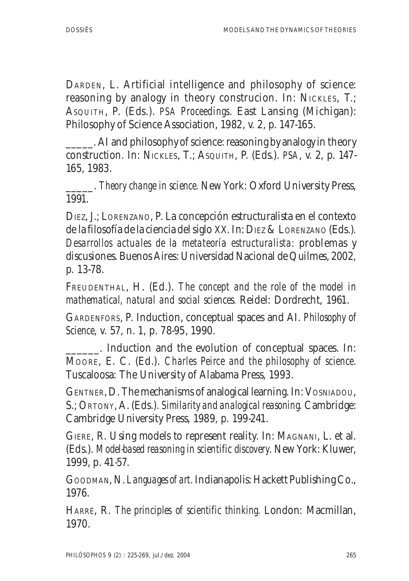DARDEN, L. Artificial intelligence and philosophy of science: reasoning by analogy in theory construcion. In: NICKLES, T.; ASQUITH, P. (Eds.). *PSA Proceedings*. East Lansing (Michigan): Philosophy of Science Association, 1982, v. 2, p. 147-165.

\_\_\_\_\_. AI and philosophy of science: reasoning by analogy in theory construction. In: NICKLES, T.; ASQUITH, P. (Eds.). *PSA*, v. 2, p. 147- 165, 1983.

\_\_\_\_\_. *Theory change in science.* New York: Oxford University Press, 1991.

DIEZ, J.; LORENZANO, P. La concepción estructuralista en el contexto de la filosofía de la ciencia del siglo XX. In: DIEZ & LORENZANO (Eds.). *Desarrollos actuales de la metateoría estructuralista:* problemas y discusiones. Buenos Aires: Universidad Nacional de Quilmes, 2002, p. 13-78.

FREUDENTHAL, H. (Ed.). *The concept and the role of the model in mathematical, natural and social sciences.* Reidel: Dordrecht, 1961.

GARDENFORS, P. Induction, conceptual spaces and AI. *Philosophy of Science*, v. 57, n. 1, p. 78-95, 1990.

. Induction and the evolution of conceptual spaces. In: MOORE, E. C. (Ed.). *Charles Peirce and the philosophy of science.* Tuscaloosa: The University of Alabama Press, 1993.

GENTNER, D. The mechanisms of analogical learning. In: VOSNIADOU, S.; ORTONY, A. (Eds.). *Similarity and analogical reasoning.* Cambridge: Cambridge University Press, 1989, p. 199-241.

GIERE, R. Using models to represent reality. In: MAGNANI, L. et al. (Eds.). *Model-based reasoning in scientific discovery*. New York: Kluwer, 1999, p. 41-57.

GOODMAN, N. *Languages of art*. Indianapolis: Hackett Publishing Co., 1976.

HARRÉ, R. *The principles of scientific thinking.* London: Macmillan, 1970.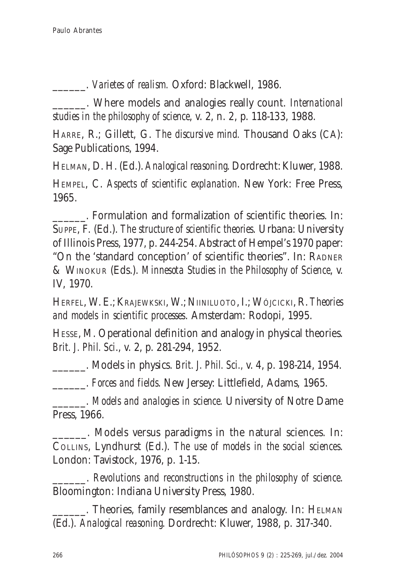\_\_\_\_\_\_. *Varietes of realism.* Oxford: Blackwell, 1986.

\_\_\_\_\_\_. Where models and analogies really count. *International studies in the philosophy of science*, v. 2, n. 2, p. 118-133, 1988.

HARRE, R.; Gillett, G. *The discursive mind.* Thousand Oaks (CA): Sage Publications, 1994.

HELMAN, D. H. (Ed.). *Analogical reasoning*. Dordrecht: Kluwer, 1988. HEMPEL, C. *Aspects of scientific explanation*. New York: Free Press, 1965.

\_\_\_\_\_\_. Formulation and formalization of scientific theories. In: SUPPE, F. (Ed.). *The structure of scientific theories*. Urbana: University of Illinois Press, 1977, p. 244-254. Abstract of Hempel's 1970 paper: "On the 'standard conception' of scientific theories". In: RADNER & WINOKUR (Eds.). *Minnesota Studies in the Philosophy of Science*, v. IV, 1970.

HERFEL, W. E.; KRAJEWKSKI, W.; NIINILUOTO, I.; WÓJCICKI, R. *Theories and models in scientific processes*. Amsterdam: Rodopi, 1995.

HESSE, M. Operational definition and analogy in physical theories. *Brit. J. Phil. Sci*., v. 2, p. 281-294, 1952.

\_\_\_\_\_\_. Models in physics. *Brit. J. Phil. Sci.,* v. 4, p. 198-214, 1954.

\_\_\_\_\_\_. *Forces and fields*. New Jersey: Littlefield, Adams, 1965.

\_\_\_\_\_\_. *Models and analogies in science.* University of Notre Dame Press, 1966.

\_\_\_\_\_\_. Models versus paradigms in the natural sciences. In: COLLINS, Lyndhurst (Ed.). *The use of models in the social sciences*. London: Tavistock, 1976, p. 1-15.

\_\_\_\_\_\_. *Revolutions and reconstructions in the philosophy of science*. Bloomington: Indiana University Press, 1980.

\_\_\_\_\_\_. Theories, family resemblances and analogy. In: HELMAN (Ed.). *Analogical reasoning*. Dordrecht: Kluwer, 1988, p. 317-340.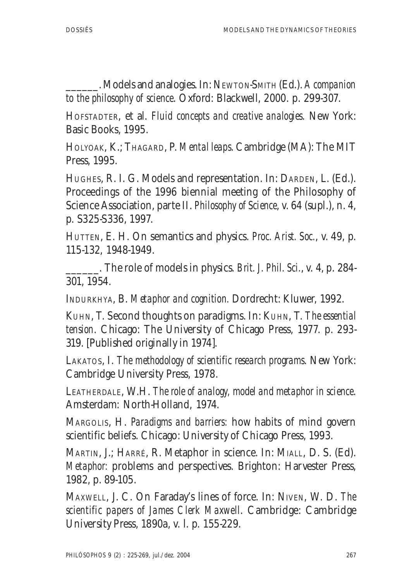\_\_\_\_\_\_. Models and analogies. In: NEWTON-SMITH (Ed.). *A companion to the philosophy of science*. Oxford: Blackwell, 2000. p. 299-307.

HOFSTADTER, et al. *Fluid concepts and creative analogies*. New York: Basic Books, 1995.

HOLYOAK, K.; THAGARD, P. *Mental leaps*. Cambridge (MA): The MIT Press, 1995.

HUGHES, R. I. G. Models and representation. In: DARDEN, L. (Ed.). Proceedings of the 1996 biennial meeting of the Philosophy of Science Association, parte II. *Philosophy of Science*, v. 64 (supl.), n. 4, p. S325-S336, 1997.

HUTTEN, E. H. On semantics and physics. *Proc. Arist. Soc.*, v. 49, p. 115-132, 1948-1949.

\_\_\_\_\_\_. The role of models in physics. *Brit. J. Phil. Sci.*, v. 4, p. 284- 301, 1954.

INDURKHYA, B. *Metaphor and cognition.* Dordrecht: Kluwer, 1992.

KUHN, T. Second thoughts on paradigms. In: KUHN, T. *The essential tension*. Chicago: The University of Chicago Press, 1977. p. 293- 319. [Published originally in 1974].

LAKATOS, I. *The methodology of scientific research programs*. New York: Cambridge University Press, 1978.

LEATHERDALE, W.H. *The role of analogy, model and metaphor in science*. Amsterdam: North-Holland, 1974.

MARGOLIS, H. *Paradigms and barriers:* how habits of mind govern scientific beliefs. Chicago: University of Chicago Press, 1993.

MARTIN, J.; HARRÉ, R. Metaphor in science. In: MIALL, D. S. (Ed). *Metaphor:* problems and perspectives. Brighton: Harvester Press, 1982, p. 89-105.

MAXWELL, J. C. On Faraday's lines of force. In: NIVEN, W. D. *The scientific papers of James Clerk Maxwell*. Cambridge: Cambridge University Press, 1890a, v. l. p. 155-229.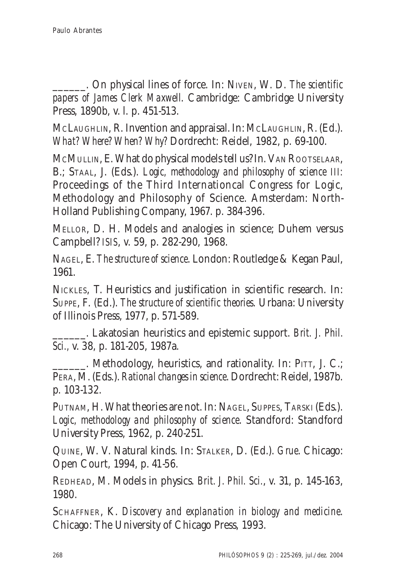\_\_\_\_\_\_. On physical lines of force. In: NIVEN, W. D. *The scientific papers of James Clerk Maxwell*. Cambridge: Cambridge University Press, 1890b, v. l. p. 451-513.

MCLAUGHLIN, R. Invention and appraisal. In: MCLAUGHLIN, R. (Ed.). *What? Where? When? Why?* Dordrecht: Reidel, 1982, p. 69-100.

MCMULLIN, E. What do physical models tell us? In. VAN ROOTSELAAR, B.; STAAL, J. (Eds.). *Logic, methodology and philosophy of science III:* Proceedings of the Third Internationcal Congress for Logic, Methodology and Philosophy of Science. Amsterdam: North-Holland Publishing Company, 1967. p. 384-396.

MELLOR, D. H. Models and analogies in science; Duhem versus Campbell? *ISIS*, v. 59, p. 282-290, 1968.

NAGEL, E. *The structure of science*. London: Routledge & Kegan Paul, 1961.

NICKLES, T. Heuristics and justification in scientific research. In: SUPPE, F. (Ed.). *The structure of scientific theories*. Urbana: University of Illinois Press, 1977, p. 571-589.

\_\_\_\_\_\_. Lakatosian heuristics and epistemic support. *Brit. J. Phil. Sci.,* v. 38, p. 181-205, 1987a.

. Methodology, heuristics, and rationality. In: PITT, J. C.; PERA, M. (Eds.). *Rational changes in science*. Dordrecht: Reidel, 1987b. p. 103-132.

PUTNAM, H. What theories are not. In: NAGEL, SUPPES, TARSKI (Eds.). *Logic, methodology and philosophy of science*. Standford: Standford University Press, 1962, p. 240-251.

QUINE, W. V. Natural kinds. In: STALKER, D. (Ed.). *Grue*. Chicago: Open Court, 1994, p. 41-56.

REDHEAD, M. Models in physics. *Brit. J. Phil. Sci.*, v. 31, p. 145-163, 1980.

SCHAFFNER, K. *Discovery and explanation in biology and medicine*. Chicago: The University of Chicago Press, 1993.